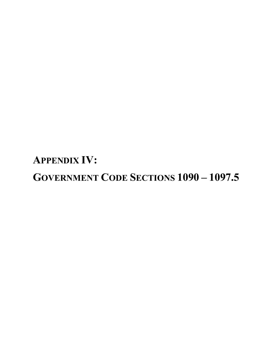**APPENDIX IV: GOVERNMENT CODE SECTIONS 1090 – 1097.5**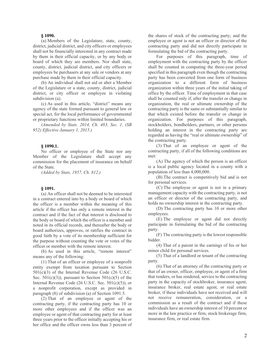# **§ [1090.](javascript:submitCodesValues()**

(a) Members of the Legislature, state, county, district, judicial district, and city officers or employees shall not be financially interested in any contract made by them in their official capacity, or by any body or board of which they are members. Nor shall state, county, district, judicial district, and city officers or employees be purchasers at any sale or vendors at any purchase made by them in their official capacity.

(b) An individual shall not aid or abet a Member of the Legislature or a state, county, district, judicial district, or city officer or employee in violating subdivision (a).

(c) As used in this article, "district" means any agency of the state formed pursuant to general law or special act, for the local performance of governmental or proprietary functions within limited boundaries.

*(Amended by Stats. 2014, Ch. 483, Sec. 1. (SB 952) Effective January 1, 2015.)*

## **§ [1090.1.](javascript:submitCodesValues()**

No officer or employee of the State nor any Member of the Legislature shall accept any commission for the placement of insurance on behalf of the State.

*(Added by Stats. 1957, Ch. 812.)*

#### **§ [1091.](javascript:submitCodesValues()**

(a) An officer shall not be deemed to be interested in a contract entered into by a body or board of which the officer is a member within the meaning of this article if the officer has only a remote interest in the contract and if the fact of that interest is disclosed to the body or board of which the officer is a member and noted in its official records, and thereafter the body or board authorizes, approves, or ratifies the contract in good faith by a vote of its membership sufficient for the purpose without counting the vote or votes of the officer or member with the remote interest.

(b) As used in this article, "remote interest" means any of the following:

(1) That of an officer or employee of a nonprofit entity exempt from taxation pursuant to Section 501(c)(3) of the Internal Revenue Code (26 U.S.C. Sec.  $501(c)(3)$ , pursuant to Section  $501(c)(5)$  of the Internal Revenue Code (26 U.S.C. Sec. 501(c)(5)), or a nonprofit corporation, except as provided in paragraph (8) of subdivision (a) of Section 1091.5.

(2) That of an employee or agent of the contracting party, if the contracting party has 10 or more other employees and if the officer was an employee or agent of that contracting party for at least three years prior to the officer initially accepting his or her office and the officer owns less than 3 percent of the shares of stock of the contracting party; and the employee or agent is not an officer or director of the contracting party and did not directly participate in formulating the bid of the contracting party.

For purposes of this paragraph, time of employment with the contracting party by the officer shall be counted in computing the three-year period specified in this paragraph even though the contracting party has been converted from one form of business organization to a different form of business organization within three years of the initial taking of office by the officer. Time of employment in that case shall be counted only if, after the transfer or change in organization, the real or ultimate ownership of the contracting party is the same or substantially similar to that which existed before the transfer or change in organization. For purposes of this paragraph, stockholders, bondholders, partners, or other persons holding an interest in the contracting party are regarded as having the "real or ultimate ownership" of the contracting party.

(3) That of an employee or agent of the contracting party, if all of the following conditions are met:

(A) The agency of which the person is an officer is a local public agency located in a county with a population of less than 4,000,000.

(B) The contract is competitively bid and is not for personal services.

(C) The employee or agent is not in a primary management capacity with the contracting party, is not an officer or director of the contracting party, and holds no ownership interest in the contracting party.

(D) The contracting party has 10 or more other employees.

(E) The employee or agent did not directly participate in formulating the bid of the contracting party.

(F) The contracting party is the lowest responsible **bidder** 

(4) That of a parent in the earnings of his or her minor child for personal services.

(5) That of a landlord or tenant of the contracting party.

(6) That of an attorney of the contracting party or that of an owner, officer, employee, or agent of a firm that renders, or has rendered, service to the contracting party in the capacity of stockbroker, insurance agent, insurance broker, real estate agent, or real estate broker, if these individuals have not received and will not receive remuneration, consideration, or a commission as a result of the contract and if these individuals have an ownership interest of 10 percent or more in the law practice or firm, stock brokerage firm, insurance firm, or real estate firm.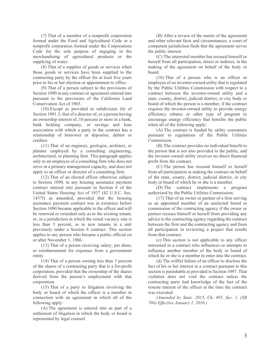(7) That of a member of a nonprofit corporation formed under the Food and Agricultural Code or a nonprofit corporation formed under the Corporations Code for the sole purpose of engaging in the merchandising of agricultural products or the supplying of water.

(8) That of a supplier of goods or services when those goods or services have been supplied to the contracting party by the officer for at least five years prior to his or her election or appointment to office.

(9) That of a person subject to the provisions of Section 1090 in any contract or agreement entered into pursuant to the provisions of the California Land Conservation Act of 1965.

(10) Except as provided in subdivision (b) of Section 1091.5, that of a director of, or a person having an ownership interest of, 10 percent or more in a bank, bank holding company, or savings and loan association with which a party to the contract has a relationship of borrower or depositor, debtor or creditor.

(11) That of an engineer, geologist, architect, or planner employed by a consulting engineering, architectural, or planning firm. This paragraph applies only to an employee of a consulting firm who does not serve in a primary management capacity, and does not apply to an officer or director of a consulting firm.

(12) That of an elected officer otherwise subject to Section 1090, in any housing assistance payment contract entered into pursuant to Section 8 of the United States Housing Act of 1937 (42 U.S.C. Sec. 1437f) as amended, provided that the housing assistance payment contract was in existence before Section 1090 became applicable to the officer and will be renewed or extended only as to the existing tenant, or, in a jurisdiction in which the rental vacancy rate is less than 5 percent, as to new tenants in a unit previously under a Section 8 contract. This section applies to any person who became a public official on or after November 1, 1986.

(13) That of a person receiving salary, per diem, or reimbursement for expenses from a government entity.

(14) That of a person owning less than 3 percent of the shares of a contracting party that is a for-profit corporation, provided that the ownership of the shares derived from the person's employment with that corporation.

(15) That of a party to litigation involving the body or board of which the officer is a member in connection with an agreement in which all of the following apply:

(A) The agreement is entered into as part of a settlement of litigation in which the body or board is represented by legal counsel.

(B) After a review of the merits of the agreement and other relevant facts and circumstances, a court of competent jurisdiction finds that the agreement serves the public interest.

(C) The interested member has recused himself or herself from all participation, direct or indirect, in the making of the agreement on behalf of the body or board.

(16) That of a person who is an officer or employee of an investor-owned utility that is regulated by the Public Utilities Commission with respect to a contract between the investor-owned utility and a state, county, district, judicial district, or city body or board of which the person is a member, if the contract requires the investor-owned utility to provide energy efficiency rebates or other type of program to encourage energy efficiency that benefits the public when all of the following apply:

(A) The contract is funded by utility consumers pursuant to regulations of the Public Utilities Commission.

(B) The contract provides no individual benefit to the person that is not also provided to the public, and the investor-owned utility receives no direct financial profit from the contract.

(C) The person has recused himself or herself from all participation in making the contract on behalf of the state, county, district, judicial district, or city body or board of which he or she is a member.

(D) The contract implements a program authorized by the Public Utilities Commission.

(17) That of an owner or partner of a firm serving as an appointed member of an unelected board or commission of the contracting agency if the owner or partner recuses himself or herself from providing any advice to the contracting agency regarding the contract between the firm and the contracting agency and from all participation in reviewing a project that results from that contract.

(c) This section is not applicable to any officer interested in a contract who influences or attempts to influence another member of the body or board of which he or she is a member to enter into the contract.

(d) The willful failure of an officer to disclose the fact of his or her interest in a contract pursuant to this section is punishable as provided in Section 1097. That violation does not void the contract unless the contracting party had knowledge of the fact of the remote interest of the officer at the time the contract was executed.

*(Amended by Stats. 2015, Ch. 495, Sec. 1. (SB 704) Effective January 1, 2016.)*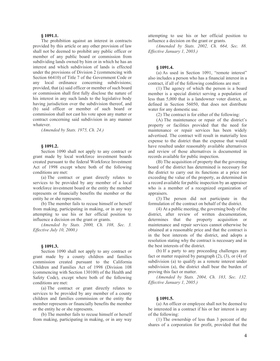# **§ [1091.1.](javascript:submitCodesValues()**

The prohibition against an interest in contracts provided by this article or any other provision of law shall not be deemed to prohibit any public officer or member of any public board or commission from subdividing lands owned by him or in which he has an interest and which subdivision of lands is effected under the provisions of Division 2 (commencing with Section 66410) of Title 7 of the Government Code or any local ordinance concerning subdivisions; provided, that (a) said officer or member of such board or commission shall first fully disclose the nature of his interest in any such lands to the legislative body having jurisdiction over the subdivision thereof, and (b) said officer or member of such board or commission shall not cast his vote upon any matter or contract concerning said subdivision in any manner whatever.

*(Amended by Stats. 1975, Ch. 24.)*

#### **§ [1091.2.](javascript:submitCodesValues()**

Section 1090 shall not apply to any contract or grant made by local workforce investment boards created pursuant to the federal Workforce Investment Act of 1998 except where both of the following conditions are met:

(a) The contract or grant directly relates to services to be provided by any member of a local workforce investment board or the entity the member represents or financially benefits the member or the entity he or she represents.

(b) The member fails to recuse himself or herself from making, participating in making, or in any way attempting to use his or her official position to influence a decision on the grant or grants.

*(Amended by Stats. 2000, Ch. 108, Sec. 3. Effective July 10, 2000.)*

# **§ [1091.3.](javascript:submitCodesValues()**

Section 1090 shall not apply to any contract or grant made by a county children and families commission created pursuant to the California Children and Families Act of 1998 (Division 108 (commencing with Section 130100) of the Health and Safety Code), except where both of the following conditions are met:

(a) The contract or grant directly relates to services to be provided by any member of a county children and families commission or the entity the member represents or financially benefits the member or the entity he or she represents.

(b) The member fails to recuse himself or herself from making, participating in making, or in any way attempting to use his or her official position to influence a decision on the grant or grants.

*(Amended by Stats. 2002, Ch. 664, Sec. 88. Effective January 1, 2003.)*

## **§ [1091.4.](javascript:submitCodesValues()**

(a) As used in Section 1091, "remote interest" also includes a person who has a financial interest in a contract, if all of the following conditions are met:

(1) The agency of which the person is a board member is a special district serving a population of less than 5,000 that is a landowner voter district, as defined in Section 56050, that does not distribute water for any domestic use.

(2) The contract is for either of the following:

(A) The maintenance or repair of the district's property or facilities provided that the need for maintenance or repair services has been widely advertised. The contract will result in materially less expense to the district than the expense that would have resulted under reasonably available alternatives and review of those alternatives is documented in records available for public inspection.

(B) The acquisition of property that the governing board of the district has determined is necessary for the district to carry out its functions at a price not exceeding the value of the property, as determined in a record available for public inspection by an appraiser who is a member of a recognized organization of appraisers.

(3) The person did not participate in the formulation of the contract on behalf of the district.

(4) At a public meeting, the governing body of the district, after review of written documentation, determines that the property acquisition or maintenance and repair services cannot otherwise be obtained at a reasonable price and that the contract is in the best interests of the district, and adopts a resolution stating why the contract is necessary and in the best interests of the district.

(b) If a party to any proceeding challenges any fact or matter required by paragraph  $(2)$ ,  $(3)$ , or  $(4)$  of subdivision (a) to qualify as a remote interest under subdivision (a), the district shall bear the burden of proving this fact or matter.

*(Amended by Stats. 2004, Ch. 183, Sec. 132. Effective January 1, 2005.)*

## **§ [1091.5.](javascript:submitCodesValues()**

(a) An officer or employee shall not be deemed to be interested in a contract if his or her interest is any of the following:

(1) The ownership of less than 3 percent of the shares of a corporation for profit, provided that the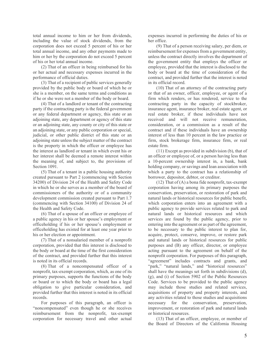total annual income to him or her from dividends, including the value of stock dividends, from the corporation does not exceed 5 percent of his or her total annual income, and any other payments made to him or her by the corporation do not exceed 5 percent of his or her total annual income.

(2) That of an officer in being reimbursed for his or her actual and necessary expenses incurred in the performance of official duties.

(3) That of a recipient of public services generally provided by the public body or board of which he or she is a member, on the same terms and conditions as if he or she were not a member of the body or board.

(4) That of a landlord or tenant of the contracting party if the contracting party is the federal government or any federal department or agency, this state or an adjoining state, any department or agency of this state or an adjoining state, any county or city of this state or an adjoining state, or any public corporation or special, judicial, or other public district of this state or an adjoining state unless the subject matter of the contract is the property in which the officer or employee has the interest as landlord or tenant in which event his or her interest shall be deemed a remote interest within the meaning of, and subject to, the provisions of Section 1091.

(5) That of a tenant in a public housing authority created pursuant to Part 2 (commencing with Section 34200) of Division 24 of the Health and Safety Code in which he or she serves as a member of the board of commissioners of the authority or of a community development commission created pursuant to Part 1.7 (commencing with Section 34100) of Division 24 of the Health and Safety Code.

(6) That of a spouse of an officer or employee of a public agency in his or her spouse's employment or officeholding if his or her spouse's employment or officeholding has existed for at least one year prior to his or her election or appointment.

(7) That of a nonsalaried member of a nonprofit corporation, provided that this interest is disclosed to the body or board at the time of the first consideration of the contract, and provided further that this interest is noted in its official records.

(8) That of a noncompensated officer of a nonprofit, tax-exempt corporation, which, as one of its primary purposes, supports the functions of the body or board or to which the body or board has a legal obligation to give particular consideration, and provided further that this interest is noted in its official records.

For purposes of this paragraph, an officer is "noncompensated" even though he or she receives reimbursement from the nonprofit, tax-exempt corporation for necessary travel and other actual expenses incurred in performing the duties of his or her office.

(9) That of a person receiving salary, per diem, or reimbursement for expenses from a government entity, unless the contract directly involves the department of the government entity that employs the officer or employee, provided that the interest is disclosed to the body or board at the time of consideration of the contract, and provided further that the interest is noted in its official record.

(10) That of an attorney of the contracting party or that of an owner, officer, employee, or agent of a firm which renders, or has rendered, service to the contracting party in the capacity of stockbroker, insurance agent, insurance broker, real estate agent, or real estate broker, if these individuals have not received and will not receive remuneration, consideration, or a commission as a result of the contract and if these individuals have an ownership interest of less than 10 percent in the law practice or firm, stock brokerage firm, insurance firm, or real estate firm.

(11) Except as provided in subdivision (b), that of an officer or employee of, or a person having less than a 10-percent ownership interest in, a bank, bank holding company, or savings and loan association with which a party to the contract has a relationship of borrower, depositor, debtor, or creditor.

 $(12)$  That of  $(A)$  a bona fide nonprofit, tax-exempt corporation having among its primary purposes the conservation, preservation, or restoration of park and natural lands or historical resources for public benefit, which corporation enters into an agreement with a public agency to provide services related to park and natural lands or historical resources and which services are found by the public agency, prior to entering into the agreement or as part of the agreement, to be necessary to the public interest to plan for, acquire, protect, conserve, improve, or restore park and natural lands or historical resources for public purposes and (B) any officer, director, or employee acting pursuant to the agreement on behalf of the nonprofit corporation. For purposes of this paragraph, "agreement" includes contracts and grants, and "park," "natural lands," and "historical resources" shall have the meanings set forth in subdivisions (d), (g), and (i) of Section 5902 of the Public Resources Code. Services to be provided to the public agency may include those studies and related services, acquisitions of property and property interests, and any activities related to those studies and acquisitions necessary for the conservation, preservation, improvement, or restoration of park and natural lands or historical resources.

(13) That of an officer, employee, or member of the Board of Directors of the California Housing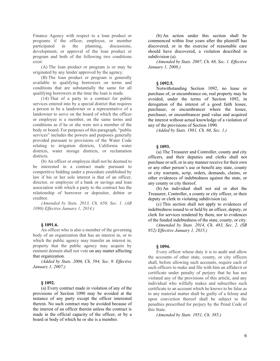Finance Agency with respect to a loan product or programs if the officer, employee, or member participated in the planning, discussions, development, or approval of the loan product or program and both of the following two conditions exist:

(A) The loan product or program is or may be originated by any lender approved by the agency.

(B) The loan product or program is generally available to qualifying borrowers on terms and conditions that are substantially the same for all qualifying borrowers at the time the loan is made.

(14) That of a party to a contract for public services entered into by a special district that requires a person to be a landowner or a representative of a landowner to serve on the board of which the officer or employee is a member, on the same terms and conditions as if he or she were not a member of the body or board. For purposes of this paragraph, "public services" includes the powers and purposes generally provided pursuant to provisions of the Water Code relating to irrigation districts, California water districts, water storage districts, or reclamation districts.

(b) An officer or employee shall not be deemed to be interested in a contract made pursuant to competitive bidding under a procedure established by law if his or her sole interest is that of an officer, director, or employee of a bank or savings and loan association with which a party to the contract has the relationship of borrower or depositor, debtor or creditor.

*(Amended by Stats. 2013, Ch. 650, Sec. 1. (AB 1090) Effective January 1, 2014.)*

### **§ [1091.6.](javascript:submitCodesValues()**

An officer who is also a member of the governing body of an organization that has an interest in, or to which the public agency may transfer an interest in, property that the public agency may acquire by eminent domain shall not vote on any matter affecting that organization.

*(Added by Stats. 2006, Ch. 594, Sec. 9. Effective January 1, 2007.)*

## **§ [1092.](javascript:submitCodesValues()**

(a) Every contract made in violation of any of the provisions of Section 1090 may be avoided at the instance of any party except the officer interested therein. No such contract may be avoided because of the interest of an officer therein unless the contract is made in the official capacity of the officer, or by a board or body of which he or she is a member.

(b) An action under this section shall be commenced within four years after the plaintiff has discovered, or in the exercise of reasonable care should have discovered, a violation described in subdivision (a).

*(Amended by Stats. 2007, Ch. 68, Sec. 1. Effective January 1, 2008.)*

### **§ [1092.5.](javascript:submitCodesValues()**

Notwithstanding Section 1092, no lease or purchase of, or encumbrance on, real property may be avoided, under the terms of Section 1092, in derogation of the interest of a good faith lessee, purchaser, or encumbrancer where the lessee, purchaser, or encumbrancer paid value and acquired the interest without actual knowledge of a violation of any of the provisions of Section 1090.

*(Added by Stats. 1981, Ch. 66, Sec. 1.)*

#### **§ [1093.](javascript:submitCodesValues()**

(a) The Treasurer and Controller, county and city officers, and their deputies and clerks shall not purchase or sell, or in any manner receive for their own or any other person's use or benefit any state, county or city warrants, scrip, orders, demands, claims, or other evidences of indebtedness against the state, or any county or city thereof.

(b) An individual shall not aid or abet the Treasurer, Controller, a county or city officer, or their deputy or clerk in violating subdivision (a).

(c) This section shall not apply to evidences of indebtedness issued to or held by an officer, deputy, or clerk for services rendered by them, nor to evidences of the funded indebtedness of the state, county, or city.

*(Amended by Stats. 2014, Ch. 483, Sec. 2. (SB 952) Effective January 1, 2015.)*

#### **§ [1094.](javascript:submitCodesValues()**

Every officer whose duty it is to audit and allow the accounts of other state, county, or city officers shall, before allowing such accounts, require each of such officers to make and file with him an affidavit or certificate under penalty of perjury that he has not violated any of the provisions of this article, and any individual who wilfully makes and subscribes such certificate to an account which he knows to be false as to any material matter shall be guilty of a felony and upon conviction thereof shall be subject to the penalties prescribed for perjury by the Penal Code of this State.

*(Amended by Stats. 1951, Ch. 385.)*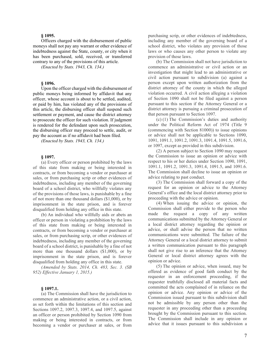## **§ [1095.](javascript:submitCodesValues()**

Officers charged with the disbursement of public moneys shall not pay any warrant or other evidence of indebtedness against the State, county, or city when it has been purchased, sold, received, or transferred contrary to any of the provisions of this article.

*(Enacted by Stats. 1943, Ch. 134.)*

## **§ [1096.](javascript:submitCodesValues()**

Upon the officer charged with the disbursement of public moneys being informed by affidavit that any officer, whose account is about to be settled, audited, or paid by him, has violated any of the provisions of this article, the disbursing officer shall suspend such settlement or payment, and cause the district attorney to prosecute the officer for such violation. If judgment is rendered for the defendant upon such prosecution, the disbursing officer may proceed to settle, audit, or pay the account as if no affidavit had been filed.

*(Enacted by Stats. 1943, Ch. 134.)*

#### **§ [1097.](javascript:submitCodesValues()**

(a) Every officer or person prohibited by the laws of this state from making or being interested in contracts, or from becoming a vendor or purchaser at sales, or from purchasing scrip or other evidences of indebtedness, including any member of the governing board of a school district, who willfully violates any of the provisions of those laws, is punishable by a fine of not more than one thousand dollars (\$1,000), or by imprisonment in the state prison, and is forever disqualified from holding any office in this state.

(b) An individual who willfully aids or abets an officer or person in violating a prohibition by the laws of this state from making or being interested in contracts, or from becoming a vendor or purchaser at sales, or from purchasing scrip, or other evidences of indebtedness, including any member of the governing board of a school district, is punishable by a fine of not more than one thousand dollars (\$1,000), or by imprisonment in the state prison, and is forever disqualified from holding any office in this state.

*(Amended by Stats. 2014, Ch. 483, Sec. 3. (SB 952) Effective January 1, 2015.)*

## **§ [1097.1.](javascript:submitCodesValues()**

(a) The Commission shall have the jurisdiction to commence an administrative action, or a civil action, as set forth within the limitations of this section and Sections 1097.2, 1097.3, 1097.4, and 1097.5, against an officer or person prohibited by Section 1090 from making or being interested in contracts, or from becoming a vendor or purchaser at sales, or from purchasing scrip, or other evidences of indebtedness, including any member of the governing board of a school district, who violates any provision of those laws or who causes any other person to violate any provision of those laws.

(b) The Commission shall not have jurisdiction to commence an administrative or civil action or an investigation that might lead to an administrative or civil action pursuant to subdivision (a) against a person except upon written authorization from the district attorney of the county in which the alleged violation occurred. A civil action alleging a violation of Section 1090 shall not be filed against a person pursuant to this section if the Attorney General or a district attorney is pursuing a criminal prosecution of that person pursuant to Section 1097.

(c) (1) The Commission's duties and authority under the Political Reform Act of 1974 (Title 9 (commencing with Section 81000)) to issue opinions or advice shall not be applicable to Sections 1090, 1091, 1091.1, 1091.2, 1091.3, 1091.4, 1091.5, 1091.6, or 1097, except as provided in this subdivision.

(2) A person subject to Section 1090 may request the Commission to issue an opinion or advice with respect to his or her duties under Section 1090, 1091, 1091.1, 1091.2, 1091.3, 1091.4, 1091.5, and 1091.6. The Commission shall decline to issue an opinion or advice relating to past conduct.

(3) The Commission shall forward a copy of the request for an opinion or advice to the Attorney General's office and the local district attorney prior to proceeding with the advice or opinion.

(4) When issuing the advice or opinion, the Commission shall either provide to the person who made the request a copy of any written communications submitted by the Attorney General or a local district attorney regarding the opinion or advice, or shall advise the person that no written communications were submitted. The failure of the Attorney General or a local district attorney to submit a written communication pursuant to this paragraph shall not give rise to an inference that the Attorney General or local district attorney agrees with the opinion or advice.

(5) The opinion or advice, when issued, may be offered as evidence of good faith conduct by the requester in an enforcement proceeding, if the requester truthfully disclosed all material facts and committed the acts complained of in reliance on the opinion or advice. Any opinion or advice of the Commission issued pursuant to this subdivision shall not be admissible by any person other than the requester in any proceeding other than a proceeding brought by the Commission pursuant to this section. The Commission shall include in any opinion or advice that it issues pursuant to this subdivision a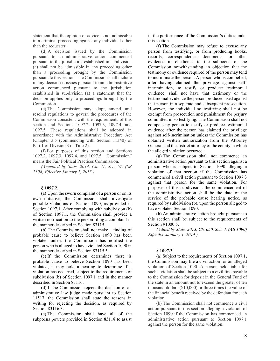statement that the opinion or advice is not admissible in a criminal proceeding against any individual other than the requester.

(d) A decision issued by the Commission pursuant to an administrative action commenced pursuant to the jurisdiction established in subdivision (a) shall not be admissible in any proceeding other than a proceeding brought by the Commission pursuant to this section. The Commission shall include in any decision it issues pursuant to an administrative action commenced pursuant to the jurisdiction established in subdivision (a) a statement that the decision applies only to proceedings brought by the Commission.

(e) The Commission may adopt, amend, and rescind regulations to govern the procedures of the Commission consistent with the requirements of this section and Sections 1097.2, 1097.3, 1097.4, and 1097.5. These regulations shall be adopted in accordance with the Administrative Procedure Act (Chapter 3.5 (commencing with Section 11340) of Part 1 of Division 3 of Title 2).

(f) For purposes of this section and Sections 1097.2, 1097.3, 1097.4, and 1097.5, "Commission" means the Fair Political Practices Commission.

*(Amended by Stats. 2014, Ch. 71, Sec. 67. (SB 1304) Effective January 1, 2015.)*

## **§ [1097.2.](javascript:submitCodesValues()**

(a) Upon the sworn complaint of a person or on its own initiative, the Commission shall investigate possible violations of Section 1090, as provided in Section 1097.1. After complying with subdivision (b) of Section 1097.1, the Commission shall provide a written notification to the person filing a complaint in the manner described in Section 83115.

(b) The Commission shall not make a finding of probable cause to believe Section 1090 has been violated unless the Commission has notified the person who is alleged to have violated Section 1090 in the manner described in Section 83115.5.

(c) If the Commission determines there is probable cause to believe Section 1090 has been violated, it may hold a hearing to determine if a violation has occurred, subject to the requirements of subdivision (b) of Section 1097.1 and in the manner described in Section 83116.

(d) If the Commission rejects the decision of an administrative law judge made pursuant to Section 11517, the Commission shall state the reasons in writing for rejecting the decision, as required by Section 83116.3.

(e) The Commission shall have all of the subpoena powers provided in Section 83118 to assist in the performance of the Commission's duties under this section.

(f) The Commission may refuse to excuse any person from testifying, or from producing books, records, correspondence, documents, or other evidence in obedience to the subpoena of the Commission notwithstanding an objection that the testimony or evidence required of the person may tend to incriminate the person. A person who is compelled, after having claimed the privilege against selfincrimination, to testify or produce testimonial evidence, shall not have that testimony or the testimonial evidence the person produced used against that person in a separate and subsequent prosecution. However, the individual so testifying shall not be exempt from prosecution and punishment for perjury committed in so testifying. The Commission shall not compel any person to testify or produce testimonial evidence after the person has claimed the privilege against self-incrimination unless the Commission has obtained written authorization from the Attorney General and the district attorney of the county in which the alleged violation occurred.

(g) The Commission shall not commence an administrative action pursuant to this section against a person who is subject to Section 1090 alleging a violation of that section if the Commission has commenced a civil action pursuant to Section 1097.3 against that person for the same violation. For purposes of this subdivision, the commencement of the administrative action shall be the date of the service of the probable cause hearing notice, as required by subdivision (b), upon the person alleged to have violated Section 1090.

(h) An administrative action brought pursuant to this section shall be subject to the requirements of Section 91000.5.

*(Added by Stats. 2013, Ch. 650, Sec. 3. (AB 1090) Effective January 1, 2014.)*

## **§ [1097.3.](javascript:submitCodesValues()**

(a) Subject to the requirements of Section 1097.1, the Commission may file a civil action for an alleged violation of Section 1090. A person held liable for such a violation shall be subject to a civil fine payable to the Commission for deposit in the General Fund of the state in an amount not to exceed the greater of ten thousand dollars (\$10,000) or three times the value of the financial benefit received by the defendant for each violation.

(b) The Commission shall not commence a civil action pursuant to this section alleging a violation of Section 1090 if the Commission has commenced an administrative action pursuant to Section 1097.1 against the person for the same violation.